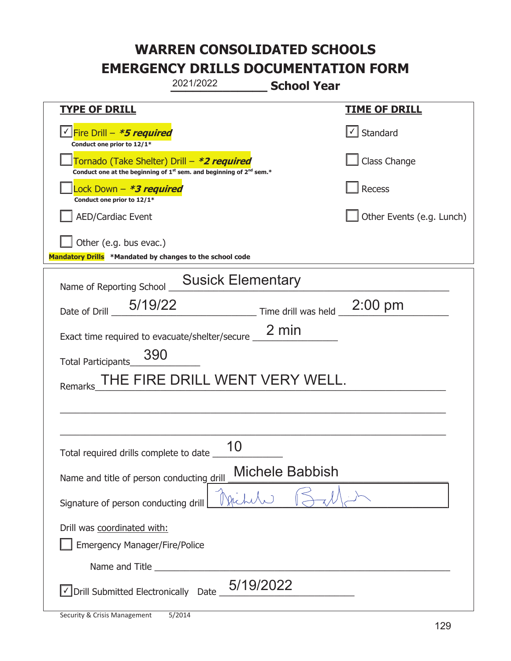|                                                                                    | 2021/2022                                                                                   | <b>School Year</b>     |                           |
|------------------------------------------------------------------------------------|---------------------------------------------------------------------------------------------|------------------------|---------------------------|
| <u>TYPE OF DRILL</u>                                                               |                                                                                             |                        | <b>TIME OF DRILL</b>      |
| Fire Drill - <i>*<b>5 required</b></i><br>Conduct one prior to 12/1*               |                                                                                             |                        | √ Standard                |
| Tornado (Take Shelter) Drill – *2 required                                         | Conduct one at the beginning of 1 <sup>st</sup> sem. and beginning of 2 <sup>nd</sup> sem.* |                        | Class Change              |
| Lock Down - *3 required<br>Conduct one prior to 12/1*                              |                                                                                             |                        | Recess                    |
| <b>AED/Cardiac Event</b>                                                           |                                                                                             |                        | Other Events (e.g. Lunch) |
| Other (e.g. bus evac.)<br>Mandatory Drills *Mandated by changes to the school code |                                                                                             |                        |                           |
| Name of Reporting School _                                                         | <b>Susick Elementary</b>                                                                    |                        |                           |
| 5/19/22<br>Date of Drill                                                           |                                                                                             | Time drill was held    | $2:00$ pm                 |
| Exact time required to evacuate/shelter/secure _                                   |                                                                                             | 2 min                  |                           |
| 390<br><b>Total Participants</b>                                                   |                                                                                             |                        |                           |
| Remarks                                                                            | THE FIRE DRILL WENT VERY WELL.                                                              |                        |                           |
|                                                                                    |                                                                                             |                        |                           |
|                                                                                    |                                                                                             |                        |                           |
| Total required drills complete to date                                             | 10                                                                                          |                        |                           |
| Name and title of person conducting drill                                          |                                                                                             | <b>Michele Babbish</b> |                           |
| Signature of person conducting drill                                               |                                                                                             |                        |                           |
| Drill was coordinated with:<br><b>Emergency Manager/Fire/Police</b>                |                                                                                             |                        |                           |
|                                                                                    |                                                                                             |                        |                           |
| √ Drill Submitted Electronically Date                                              | 5/19/2022                                                                                   |                        |                           |

t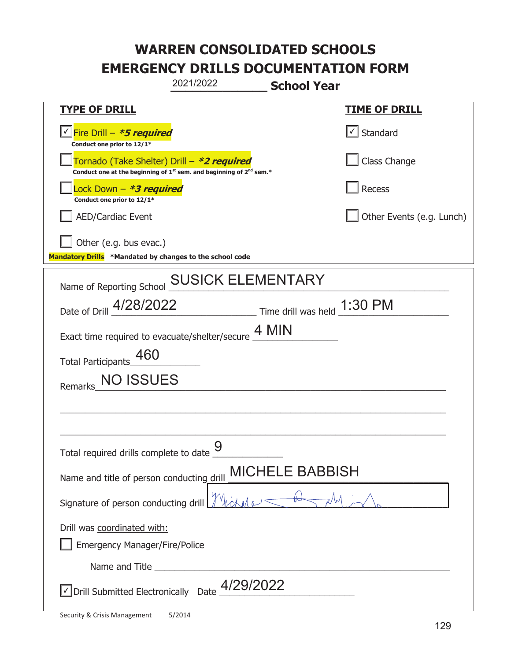|                                                                                                                                           | 2021/2022<br><b>School Year</b>                                             |                               |
|-------------------------------------------------------------------------------------------------------------------------------------------|-----------------------------------------------------------------------------|-------------------------------|
| <b>TYPE OF DRILL</b>                                                                                                                      |                                                                             | <b>TIME OF DRILL</b>          |
| <u> √ <mark>Fire Drill – <i>*<b>5 required</b></i></mark></u><br>Conduct one prior to 12/1*                                               |                                                                             | $\sqrt{\phantom{a}}$ Standard |
| Tornado (Take Shelter) Drill – *2 required<br>Conduct one at the beginning of 1 <sup>st</sup> sem. and beginning of 2 <sup>nd</sup> sem.* |                                                                             | Class Change                  |
| Lock Down – <b>*3 required</b><br>Conduct one prior to 12/1*                                                                              |                                                                             | Recess                        |
| AED/Cardiac Event                                                                                                                         |                                                                             | Other Events (e.g. Lunch)     |
| Other (e.g. bus evac.)<br>Mandatory Drills *Mandated by changes to the school code                                                        |                                                                             |                               |
| Name of Reporting School                                                                                                                  | <b>SUSICK ELEMENTARY</b>                                                    |                               |
| Date of Drill 4/28/2022                                                                                                                   | $\frac{1:30 \text{ PM}}{2}$ Time drill was held $\frac{1:30 \text{ PM}}{2}$ |                               |
| Exact time required to evacuate/shelter/secure $\underline{4}$ MIN                                                                        |                                                                             |                               |
| 460<br>Total Participants_                                                                                                                |                                                                             |                               |
| <b>NO ISSUES</b><br>Remarks                                                                                                               |                                                                             |                               |
|                                                                                                                                           |                                                                             |                               |
|                                                                                                                                           |                                                                             |                               |
| Total required drills complete to date 9                                                                                                  |                                                                             |                               |
| Name and title of person conducting drill                                                                                                 | <b>MICHELE BABBISH</b>                                                      |                               |
| Signature of person conducting drill                                                                                                      |                                                                             |                               |
| Drill was coordinated with:                                                                                                               |                                                                             |                               |
| <b>Emergency Manager/Fire/Police</b>                                                                                                      |                                                                             |                               |
|                                                                                                                                           |                                                                             |                               |
| √ Drill Submitted Electronically Date                                                                                                     | 4/29/2022                                                                   |                               |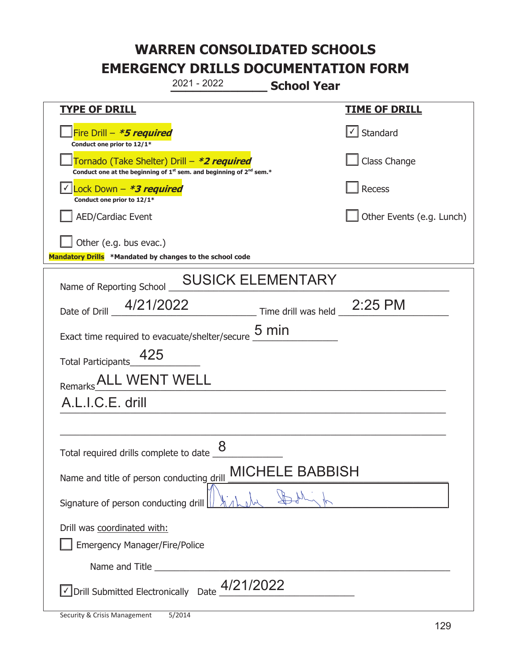|                                                                                    | 2021 - 2022                                                                                 | <b>School Year</b>                                       |                           |
|------------------------------------------------------------------------------------|---------------------------------------------------------------------------------------------|----------------------------------------------------------|---------------------------|
| <u>TYPE OF DRILL</u>                                                               |                                                                                             |                                                          | <b>TIME OF DRILL</b>      |
| Fire Drill - *5 required<br>Conduct one prior to 12/1*                             |                                                                                             |                                                          | √ Standard                |
| Tornado (Take Shelter) Drill – *2 required                                         | Conduct one at the beginning of 1 <sup>st</sup> sem. and beginning of 2 <sup>nd</sup> sem.* |                                                          | Class Change              |
| Lock Down $-$ *3 required<br>Conduct one prior to 12/1*                            |                                                                                             |                                                          | Recess                    |
| <b>AED/Cardiac Event</b>                                                           |                                                                                             |                                                          | Other Events (e.g. Lunch) |
| Other (e.g. bus evac.)<br>Mandatory Drills *Mandated by changes to the school code |                                                                                             |                                                          |                           |
| Name of Reporting School                                                           | <b>SUSICK ELEMENTARY</b>                                                                    |                                                          |                           |
| 4/21/2022<br>Date of Drill                                                         |                                                                                             | $\frac{1}{2.25}$ Time drill was held $\frac{2.25}{1}$ PM |                           |
| Exact time required to evacuate/shelter/secure $\underline{5}$ min                 |                                                                                             |                                                          |                           |
| Total Participants_                                                                |                                                                                             |                                                          |                           |
| Remarks_ALL WENT WELL                                                              |                                                                                             |                                                          |                           |
| A.L.I.C.E. drill                                                                   |                                                                                             |                                                          |                           |
|                                                                                    |                                                                                             |                                                          |                           |
| Total required drills complete to date $\frac{8}{2}$                               |                                                                                             |                                                          |                           |
| Name and title of person conducting drill                                          |                                                                                             | <b>MICHELE BABBISH</b>                                   |                           |
| Signature of person conducting drill                                               |                                                                                             |                                                          |                           |
| Drill was coordinated with:<br><b>Emergency Manager/Fire/Police</b>                |                                                                                             |                                                          |                           |
|                                                                                    |                                                                                             |                                                          |                           |
| $\vee$ Drill Submitted Electronically Date $^{4/21/2022}$                          |                                                                                             |                                                          |                           |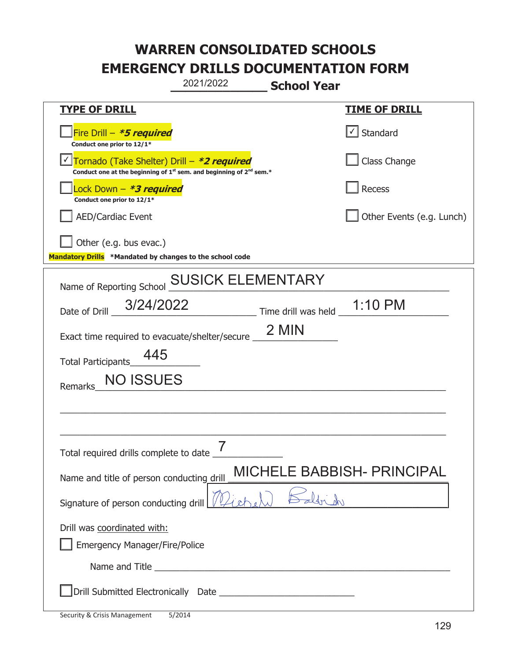| 2021/2022                                                                                                                   | <b>School Year</b>                |
|-----------------------------------------------------------------------------------------------------------------------------|-----------------------------------|
| <b>TYPE OF DRILL</b>                                                                                                        | <u>TIME OF DRILL</u>              |
| Fire Drill $- *5$ required<br>Conduct one prior to 12/1*                                                                    | √ Standard                        |
| Tornado (Take Shelter) Drill - *2 required<br>Conduct one at the beginning of $1^{st}$ sem. and beginning of $2^{nd}$ sem.* | Class Change                      |
| ock Down - <b>*3 required</b><br>Conduct one prior to 12/1*                                                                 | Recess                            |
| <b>AED/Cardiac Event</b>                                                                                                    | Other Events (e.g. Lunch)         |
| Other (e.g. bus evac.)<br>Mandatory Drills *Mandated by changes to the school code                                          |                                   |
|                                                                                                                             |                                   |
| <b>SUSICK ELEMENTARY</b><br>Name of Reporting School                                                                        |                                   |
| 3/24/2022<br>Date of Drill                                                                                                  | 1:10 PM<br>Time drill was held _  |
| Exact time required to evacuate/shelter/secure                                                                              | 2 MIN                             |
| 445<br><b>Total Participants</b>                                                                                            |                                   |
| <b>NO ISSUES</b><br>Remarks                                                                                                 |                                   |
|                                                                                                                             |                                   |
|                                                                                                                             |                                   |
| Total required drills complete to date $\frac{7}{ }$                                                                        |                                   |
| Name and title of person conducting drill                                                                                   | <b>MICHELE BABBISH- PRINCIPAL</b> |
| Signature of person conducting drill                                                                                        |                                   |
| Drill was coordinated with:                                                                                                 |                                   |
| <b>Emergency Manager/Fire/Police</b>                                                                                        |                                   |
|                                                                                                                             |                                   |
|                                                                                                                             |                                   |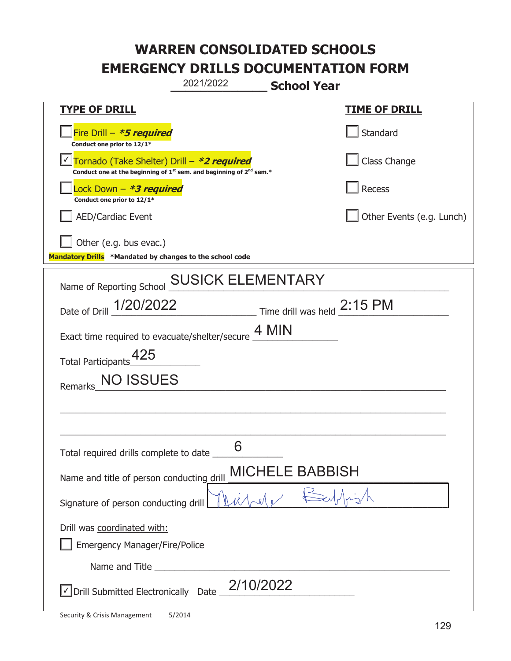| 2021/2022<br><b>School Year</b>                                                                                                                                                                                                      |                           |
|--------------------------------------------------------------------------------------------------------------------------------------------------------------------------------------------------------------------------------------|---------------------------|
| <b>TYPE OF DRILL</b>                                                                                                                                                                                                                 | <u>TIME OF DRILL</u>      |
| Fire Drill - *5 required<br>Conduct one prior to 12/1*                                                                                                                                                                               | Standard                  |
| Tornado (Take Shelter) Drill - *2 required<br>Conduct one at the beginning of 1 <sup>st</sup> sem. and beginning of 2 <sup>nd</sup> sem.*                                                                                            | Class Change              |
| Lock Down – <i>*<b>3 required</b></i><br>Conduct one prior to 12/1*                                                                                                                                                                  | Recess                    |
| <b>AED/Cardiac Event</b>                                                                                                                                                                                                             | Other Events (e.g. Lunch) |
| Other (e.g. bus evac.)                                                                                                                                                                                                               |                           |
| Mandatory Drills *Mandated by changes to the school code                                                                                                                                                                             |                           |
| <b>SUSICK ELEMENTARY</b><br>Name of Reporting School                                                                                                                                                                                 |                           |
| $\frac{1}{2}$ Time drill was held $\frac{2:15 \text{ PM}}{4}$<br>Date of Drill 1/20/2022                                                                                                                                             |                           |
| Exact time required to evacuate/shelter/secure 4 MIN                                                                                                                                                                                 |                           |
| 425<br><b>Total Participants</b>                                                                                                                                                                                                     |                           |
| NO ISSUES<br>Remarks                                                                                                                                                                                                                 |                           |
|                                                                                                                                                                                                                                      |                           |
|                                                                                                                                                                                                                                      |                           |
| 6<br>Total required drills complete to date                                                                                                                                                                                          |                           |
| <b>MICHELE BABBISH</b><br>Name and title of person conducting drill                                                                                                                                                                  |                           |
| Nichele<br>Signature of person conducting drill                                                                                                                                                                                      |                           |
| Drill was coordinated with:<br><b>Emergency Manager/Fire/Police</b>                                                                                                                                                                  |                           |
| Name and Title <b>contract to the contract of the contract of the contract of the contract of the contract of the contract of the contract of the contract of the contract of the contract of the contract of the contract of th</b> |                           |
| Drill Submitted Electronically Date $\frac{2/10/2022}{\sqrt{2}}$                                                                                                                                                                     |                           |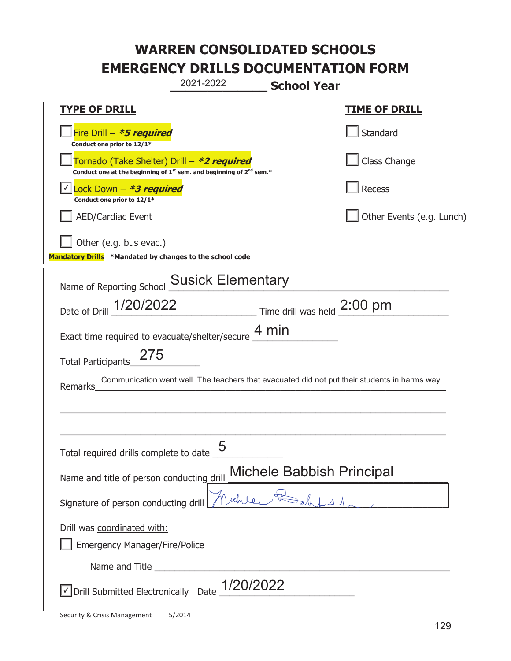| 2021-2022<br><b>School Year</b>                                                                                                                                                                                                      |                           |
|--------------------------------------------------------------------------------------------------------------------------------------------------------------------------------------------------------------------------------------|---------------------------|
| <b>TYPE OF DRILL</b>                                                                                                                                                                                                                 | <u>TIME OF DRILL</u>      |
| Fire Drill - *5 required<br>Conduct one prior to 12/1*                                                                                                                                                                               | Standard                  |
| Tornado (Take Shelter) Drill – *2 required<br>Conduct one at the beginning of 1 <sup>st</sup> sem. and beginning of 2 <sup>nd</sup> sem.*                                                                                            | Class Change              |
| Lock Down - *3 required<br>Conduct one prior to 12/1*                                                                                                                                                                                | Recess                    |
| <b>AED/Cardiac Event</b>                                                                                                                                                                                                             | Other Events (e.g. Lunch) |
| Other (e.g. bus evac.)<br>Mandatory Drills *Mandated by changes to the school code                                                                                                                                                   |                           |
|                                                                                                                                                                                                                                      |                           |
| Name of Reporting School Susick Elementary                                                                                                                                                                                           |                           |
| Date of Drill 1/20/2022<br>$\frac{1}{2}$ Time drill was held $\frac{2:00 \text{ pm}}{2}$                                                                                                                                             |                           |
| Exact time required to evacuate/shelter/secure $\underline{4}$ min                                                                                                                                                                   |                           |
| 275<br><b>Total Participants</b>                                                                                                                                                                                                     |                           |
| Communication went well. The teachers that evacuated did not put their students in harms way.<br>Remarks                                                                                                                             |                           |
|                                                                                                                                                                                                                                      |                           |
|                                                                                                                                                                                                                                      |                           |
| 5<br>Total required drills complete to date _                                                                                                                                                                                        |                           |
| Name and title of person conducting drill                                                                                                                                                                                            | Michele Babbish Principal |
| Signature of person conducting drill                                                                                                                                                                                                 |                           |
| Drill was coordinated with:                                                                                                                                                                                                          |                           |
| <b>Emergency Manager/Fire/Police</b>                                                                                                                                                                                                 |                           |
| Name and Title <b>contract the contract of the contract of the contract of the contract of the contract of the contract of the contract of the contract of the contract of the contract of the contract of the contract of the c</b> |                           |
| 1/20/2022<br>√ Drill Submitted Electronically Date                                                                                                                                                                                   |                           |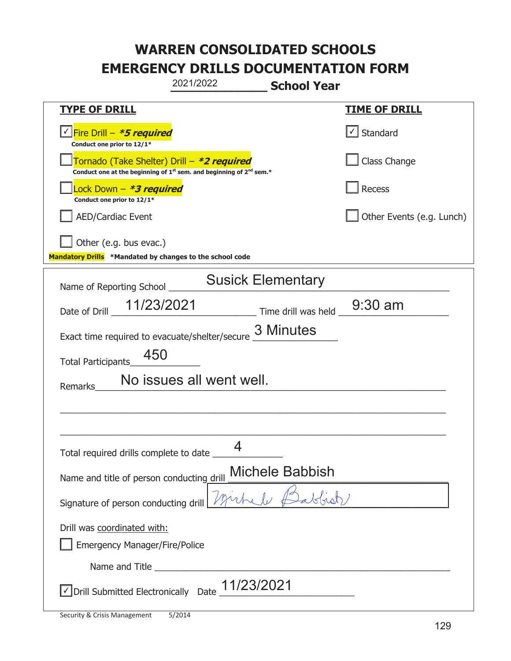|                                                                                                                                           | 2021/2022                | <b>School Year</b>          |                                   |
|-------------------------------------------------------------------------------------------------------------------------------------------|--------------------------|-----------------------------|-----------------------------------|
| <b>TYPE OF DRILL</b>                                                                                                                      |                          |                             | <u>TIME OF DRILL</u>              |
| <u> √ <mark>Fi</mark>re Drill – <b><i>*5 required</i></b></u><br>Conduct one prior to 12/1*                                               |                          |                             | $\lfloor \angle \rfloor$ Standard |
| Tornado (Take Shelter) Drill – *2 required<br>Conduct one at the beginning of 1 <sup>st</sup> sem. and beginning of 2 <sup>nd</sup> sem.* |                          |                             | Class Change                      |
| Lock Down - *3 required<br>Conduct one prior to 12/1*                                                                                     |                          |                             | <b>Recess</b>                     |
| <b>AED/Cardiac Event</b>                                                                                                                  |                          |                             | Other Events (e.g. Lunch)         |
| Other (e.g. bus evac.)<br>Mandatory Drills *Mandated by changes to the school code                                                        |                          |                             |                                   |
| Name of Reporting School __                                                                                                               |                          | <b>Susick Elementary</b>    |                                   |
| Date of Drill _ 11/23/2021                                                                                                                |                          | Time drill was held 9:30 am |                                   |
| Exact time required to evacuate/shelter/secure                                                                                            |                          | 3 Minutes                   |                                   |
| 450<br><b>Total Participants</b>                                                                                                          |                          |                             |                                   |
| Remarks                                                                                                                                   | No issues all went well. |                             |                                   |
|                                                                                                                                           |                          |                             |                                   |
|                                                                                                                                           |                          |                             |                                   |
| Total required drills complete to date _                                                                                                  | 4                        |                             |                                   |
| Name and title of person conducting drill                                                                                                 |                          | <b>Michele Babbish</b>      |                                   |
| Signature of person conducting drill                                                                                                      |                          |                             |                                   |
| Drill was coordinated with:                                                                                                               |                          |                             |                                   |
| <b>Emergency Manager/Fire/Police</b>                                                                                                      |                          |                             |                                   |
|                                                                                                                                           |                          |                             |                                   |
| √Drill Submitted Electronically Date 11/23/2021                                                                                           |                          |                             |                                   |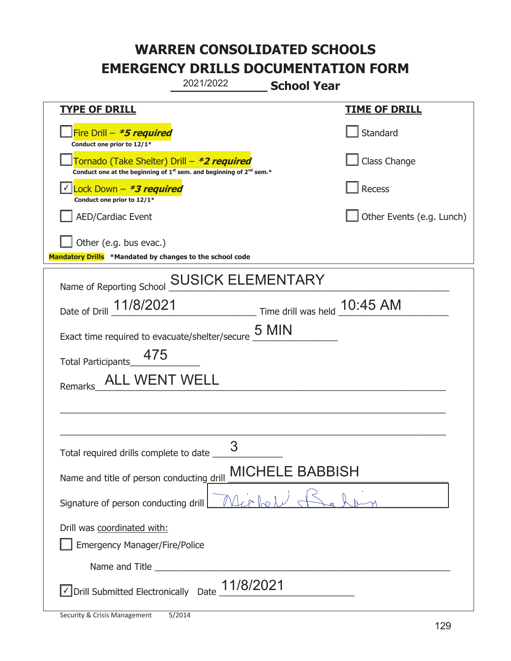| 2021/2022<br><b>School Year</b>                                                                                                           |                           |
|-------------------------------------------------------------------------------------------------------------------------------------------|---------------------------|
| <b>TYPE OF DRILL</b>                                                                                                                      | <u>TIME OF DRILL</u>      |
| Fire Drill $-$ <b>*5 required</b><br>Conduct one prior to 12/1*                                                                           | Standard                  |
| Tornado (Take Shelter) Drill – *2 required<br>Conduct one at the beginning of 1 <sup>st</sup> sem. and beginning of 2 <sup>nd</sup> sem.* | Class Change              |
| Lock Down - *3 required<br>Conduct one prior to 12/1*                                                                                     | Recess                    |
| <b>AED/Cardiac Event</b>                                                                                                                  | Other Events (e.g. Lunch) |
| Other (e.g. bus evac.)                                                                                                                    |                           |
| Mandatory Drills *Mandated by changes to the school code                                                                                  |                           |
| <b>SUSICK ELEMENTARY</b><br>Name of Reporting School                                                                                      |                           |
| $\frac{10:45 \text{ AM}}{10:45 \text{ AM}}$<br>Date of Drill 11/8/2021                                                                    |                           |
| 5 MIN<br>Exact time required to evacuate/shelter/secure                                                                                   |                           |
| 475<br><b>Total Participants</b>                                                                                                          |                           |
| ALL WENT WELL<br>Remarks                                                                                                                  |                           |
|                                                                                                                                           |                           |
|                                                                                                                                           |                           |
| 3<br>Total required drills complete to date _                                                                                             |                           |
| <b>MICHELE BABBISH</b><br>Name and title of person conducting drill                                                                       |                           |
| Signature of person conducting drill                                                                                                      |                           |
| Drill was coordinated with:<br><b>Emergency Manager/Fire/Police</b>                                                                       |                           |
| Name and Title <b>Name and Title</b>                                                                                                      |                           |
| Drill Submitted Electronically Date $\underline{\hspace{1em}11/8/2021}$                                                                   |                           |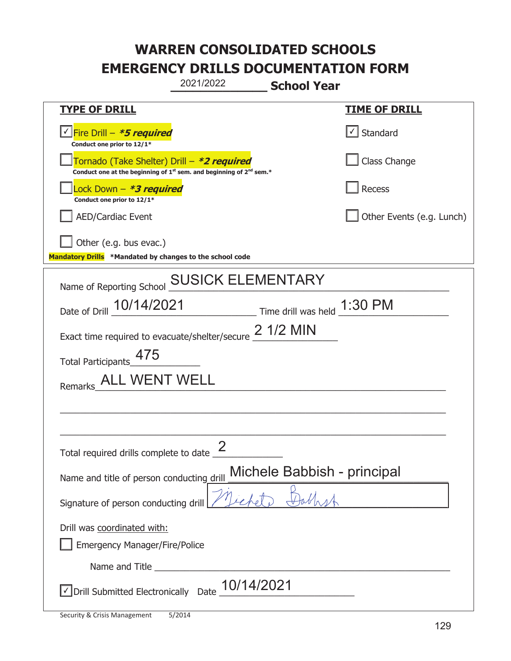| 2021/2022                                                                                                                                 | <b>School Year</b>                                                          |
|-------------------------------------------------------------------------------------------------------------------------------------------|-----------------------------------------------------------------------------|
| <b>TYPE OF DRILL</b>                                                                                                                      | <b>TIME OF DRILL</b>                                                        |
| √Fire Drill – <i>*<b>5 required</b></i><br>Conduct one prior to 12/1*                                                                     | $\lfloor \angle \rfloor$ Standard                                           |
| Tornado (Take Shelter) Drill – *2 required<br>Conduct one at the beginning of 1 <sup>st</sup> sem. and beginning of 2 <sup>nd</sup> sem.* | Class Change                                                                |
| ock Down – <b>*3 required</b><br>Conduct one prior to 12/1*                                                                               | <b>Recess</b>                                                               |
| <b>AED/Cardiac Event</b>                                                                                                                  | Other Events (e.g. Lunch)                                                   |
| Other (e.g. bus evac.)                                                                                                                    |                                                                             |
| Mandatory Drills *Mandated by changes to the school code                                                                                  |                                                                             |
| <b>SUSICK ELEMENTARY</b><br>Name of Reporting School                                                                                      |                                                                             |
| Date of Drill 10/14/2021                                                                                                                  | $\frac{1:30 \text{ PM}}{2}$ Time drill was held $\frac{1:30 \text{ PM}}{2}$ |
| Exact time required to evacuate/shelter/secure 2 1/2 MIN                                                                                  |                                                                             |
| Total Participants_175                                                                                                                    |                                                                             |
| ALL WENT WELL<br>Remarks                                                                                                                  |                                                                             |
|                                                                                                                                           |                                                                             |
|                                                                                                                                           |                                                                             |
| Total required drills complete to date $\frac{2}{\sqrt{2}}$                                                                               |                                                                             |
| Name and title of person conducting drill                                                                                                 | Michele Babbish - principal                                                 |
| Signature of person conducting drill                                                                                                      |                                                                             |
| Drill was coordinated with:<br><b>Emergency Manager/Fire/Police</b>                                                                       |                                                                             |
|                                                                                                                                           |                                                                             |
| 10/14/2021<br>Drill Submitted Electronically Date                                                                                         |                                                                             |